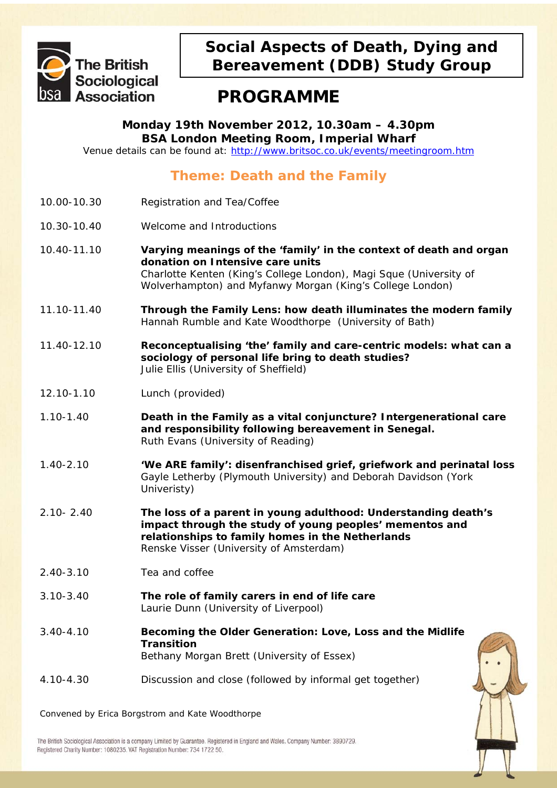

## **Social Aspects of Death, Dying and Bereavement (DDB) Study Group**

## **PROGRAMME**

**Monday 19th November 2012, 10.30am – 4.30pm BSA London Meeting Room, Imperial Wharf** 

Venue details can be found at: <http://www.britsoc.co.uk/events/meetingroom.htm>

## **Theme: Death and the Family**

- 10.00-10.30 Registration and Tea/Coffee
- 10.30-10.40 Welcome and Introductions
- 10.40-11.10 **Varying meanings of the 'family' in the context of death and organ donation on Intensive care units** *Charlotte Kenten (King's College London), Magi Sque (University of Wolverhampton) and Myfanwy Morgan (King's College London)*
- 11.10-11.40 **Through the Family Lens: how death illuminates the modern family** *Hannah Rumble and Kate Woodthorpe (University of Bath)*
- 11.40-12.10 **Reconceptualising 'the' family and care-centric models: what can a sociology of personal life bring to death studies?**  *Julie Ellis (University of Sheffield)*
- 12.10-1.10 Lunch (provided)
- 1.10-1.40 **Death in the Family as a vital conjuncture? Intergenerational care and responsibility following bereavement in Senegal.** *Ruth Evans (University of Reading)*
- 1.40-2.10 **'We ARE family': disenfranchised grief, griefwork and perinatal loss** *Gayle Letherby (Plymouth University) and Deborah Davidson (York Univeristy)*
- 2.10- 2.40 **The loss of a parent in young adulthood: Understanding death's impact through the study of young peoples' mementos and relationships to family homes in the Netherlands**  *Renske Visser (University of Amsterdam)*
- 2.40-3.10 Tea and coffee
- 3.10-3.40 **The role of family carers in end of life care** *Laurie Dunn (University of Liverpool)*
- 3.40-4.10 **Becoming the Older Generation: Love, Loss and the Midlife Transition** *Bethany Morgan Brett (University of Essex)*
- 4.10-4.30 Discussion and close (followed by informal get together)



The British Sociological Association is a company Limited by Guarantee. Registered in England and Wales. Company Number: 3890729. Registered Charity Number: 1080235. VAT Registration Number: 734 1722 50.